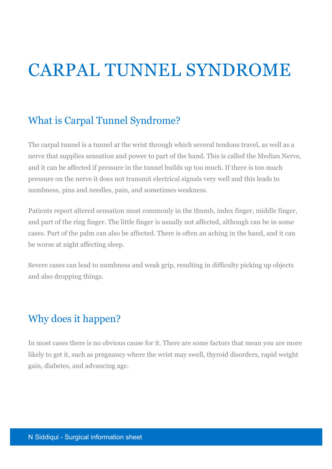# CARPAL TUNNEL SYNDROME

# What is Carpal Tunnel Syndrome?

The carpal tunnel is a tunnel at the wrist through which several tendons travel, as well as a nerve that supplies sensation and power to part of the hand. This is called the Median Nerve, and it can be affected if pressure in the tunnel builds up too much. If there is too much pressure on the nerve it does not transmit electrical signals very well and this leads to numbness, pins and needles, pain, and sometimes weakness.

Patients report altered sensation most commonly in the thumb, index finger, middle finger, and part of the ring finger. The little finger is usually not affected, although can be in some cases. Part of the palm can also be affected. There is often an aching in the hand, and it can be worse at night affecting sleep.

Severe cases can lead to numbness and weak grip, resulting in difficulty picking up objects and also dropping things.

# Why does it happen?

In most cases there is no obvious cause for it. There are some factors that mean you are more likely to get it, such as pregnancy where the wrist may swell, thyroid disorders, rapid weight gain, diabetes, and advancing age.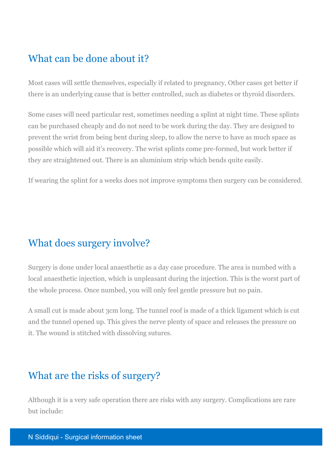# What can be done about it?

Most cases will settle themselves, especially if related to pregnancy, Other cases get better if there is an underlying cause that is better controlled, such as diabetes or thyroid disorders.

Some cases will need particular rest, sometimes needing a splint at night time. These splints can be purchased cheaply and do not need to be work during the day. They are designed to prevent the wrist from being bent during sleep, to allow the nerve to have as much space as possible which will aid it's recovery. The wrist splints come pre-formed, but work better if they are straightened out. There is an aluminium strip which bends quite easily.

If wearing the splint for a weeks does not improve symptoms then surgery can be considered.

### What does surgery involve?

Surgery is done under local anaesthetic as a day case procedure. The area is numbed with a local anaesthetic injection, which is unpleasant during the injection. This is the worst part of the whole process. Once numbed, you will only feel gentle pressure but no pain.

A small cut is made about 3cm long. The tunnel roof is made of a thick ligament which is cut and the tunnel opened up. This gives the nerve plenty of space and releases the pressure on it. The wound is stitched with dissolving sutures.

# What are the risks of surgery?

Although it is a very safe operation there are risks with any surgery. Complications are rare but include: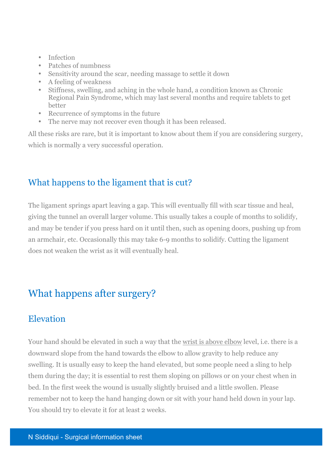- Infection
- Patches of numbness
- Sensitivity around the scar, needing massage to settle it down
- A feeling of weakness
- Stiffness, swelling, and aching in the whole hand, a condition known as Chronic Regional Pain Syndrome, which may last several months and require tablets to get better
- Recurrence of symptoms in the future
- The nerve may not recover even though it has been released.

All these risks are rare, but it is important to know about them if you are considering surgery, which is normally a very successful operation.

#### What happens to the ligament that is cut?

The ligament springs apart leaving a gap. This will eventually fill with scar tissue and heal, giving the tunnel an overall larger volume. This usually takes a couple of months to solidify, and may be tender if you press hard on it until then, such as opening doors, pushing up from an armchair, etc. Occasionally this may take 6-9 months to solidify. Cutting the ligament does not weaken the wrist as it will eventually heal.

# What happens after surgery?

#### Elevation

Your hand should be elevated in such a way that the wrist is above elbow level, i.e. there is a downward slope from the hand towards the elbow to allow gravity to help reduce any swelling. It is usually easy to keep the hand elevated, but some people need a sling to help them during the day; it is essential to rest them sloping on pillows or on your chest when in bed. In the first week the wound is usually slightly bruised and a little swollen. Please remember not to keep the hand hanging down or sit with your hand held down in your lap. You should try to elevate it for at least 2 weeks.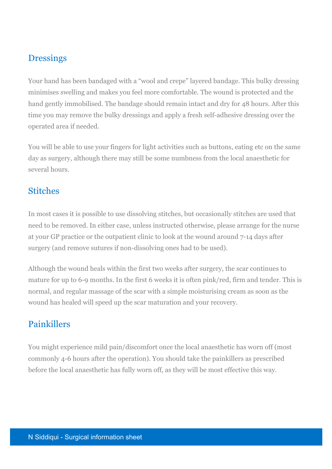#### **Dressings**

Your hand has been bandaged with a "wool and crepe" layered bandage. This bulky dressing minimises swelling and makes you feel more comfortable. The wound is protected and the hand gently immobilised. The bandage should remain intact and dry for 48 hours. After this time you may remove the bulky dressings and apply a fresh self-adhesive dressing over the operated area if needed.

You will be able to use your fingers for light activities such as buttons, eating etc on the same day as surgery, although there may still be some numbness from the local anaesthetic for several hours.

#### **Stitches**

In most cases it is possible to use dissolving stitches, but occasionally stitches are used that need to be removed. In either case, unless instructed otherwise, please arrange for the nurse at your GP practice or the outpatient clinic to look at the wound around 7-14 days after surgery (and remove sutures if non-dissolving ones had to be used).

Although the wound heals within the first two weeks after surgery, the scar continues to mature for up to 6-9 months. In the first 6 weeks it is often pink/red, firm and tender. This is normal, and regular massage of the scar with a simple moisturising cream as soon as the wound has healed will speed up the scar maturation and your recovery.

#### Painkillers

You might experience mild pain/discomfort once the local anaesthetic has worn off (most commonly 4-6 hours after the operation). You should take the painkillers as prescribed before the local anaesthetic has fully worn off, as they will be most effective this way.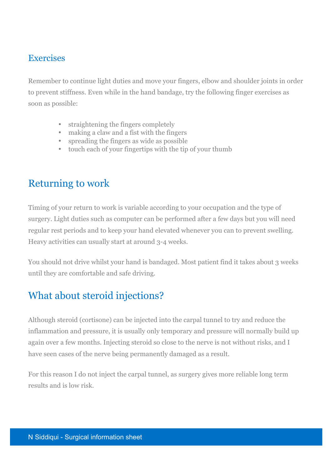#### **Exercises**

Remember to continue light duties and move your fingers, elbow and shoulder joints in order to prevent stiffness. Even while in the hand bandage, try the following finger exercises as soon as possible:

- straightening the fingers completely
- making a claw and a fist with the fingers
- spreading the fingers as wide as possible
- touch each of your fingertips with the tip of your thumb

# Returning to work

Timing of your return to work is variable according to your occupation and the type of surgery. Light duties such as computer can be performed after a few days but you will need regular rest periods and to keep your hand elevated whenever you can to prevent swelling. Heavy activities can usually start at around 3-4 weeks.

You should not drive whilst your hand is bandaged. Most patient find it takes about 3 weeks until they are comfortable and safe driving.

# What about steroid injections?

Although steroid (cortisone) can be injected into the carpal tunnel to try and reduce the inflammation and pressure, it is usually only temporary and pressure will normally build up again over a few months. Injecting steroid so close to the nerve is not without risks, and I have seen cases of the nerve being permanently damaged as a result.

For this reason I do not inject the carpal tunnel, as surgery gives more reliable long term results and is low risk.